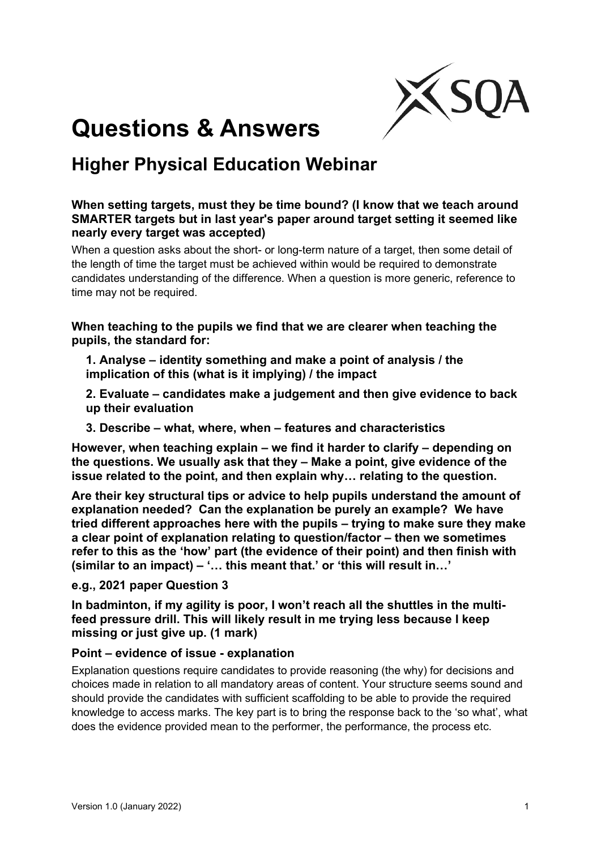

# **Questions & Answers**

# **Higher Physical Education Webinar**

# **When setting targets, must they be time bound? (I know that we teach around SMARTER targets but in last year's paper around target setting it seemed like nearly every target was accepted)**

When a question asks about the short- or long-term nature of a target, then some detail of the length of time the target must be achieved within would be required to demonstrate candidates understanding of the difference. When a question is more generic, reference to time may not be required.

**When teaching to the pupils we find that we are clearer when teaching the pupils, the standard for:**

**1. Analyse – identity something and make a point of analysis / the implication of this (what is it implying) / the impact**

**2. Evaluate – candidates make a judgement and then give evidence to back up their evaluation**

**3. Describe – what, where, when – features and characteristics**

**However, when teaching explain – we find it harder to clarify – depending on the questions. We usually ask that they – Make a point, give evidence of the issue related to the point, and then explain why… relating to the question.**

**Are their key structural tips or advice to help pupils understand the amount of explanation needed? Can the explanation be purely an example? We have tried different approaches here with the pupils – trying to make sure they make a clear point of explanation relating to question/factor – then we sometimes refer to this as the 'how' part (the evidence of their point) and then finish with (similar to an impact) – '… this meant that.' or 'this will result in…'**

#### **e.g., 2021 paper Question 3**

**In badminton, if my agility is poor, I won't reach all the shuttles in the multifeed pressure drill. This will likely result in me trying less because I keep missing or just give up. (1 mark)** 

# **Point – evidence of issue - explanation**

Explanation questions require candidates to provide reasoning (the why) for decisions and choices made in relation to all mandatory areas of content. Your structure seems sound and should provide the candidates with sufficient scaffolding to be able to provide the required knowledge to access marks. The key part is to bring the response back to the 'so what', what does the evidence provided mean to the performer, the performance, the process etc.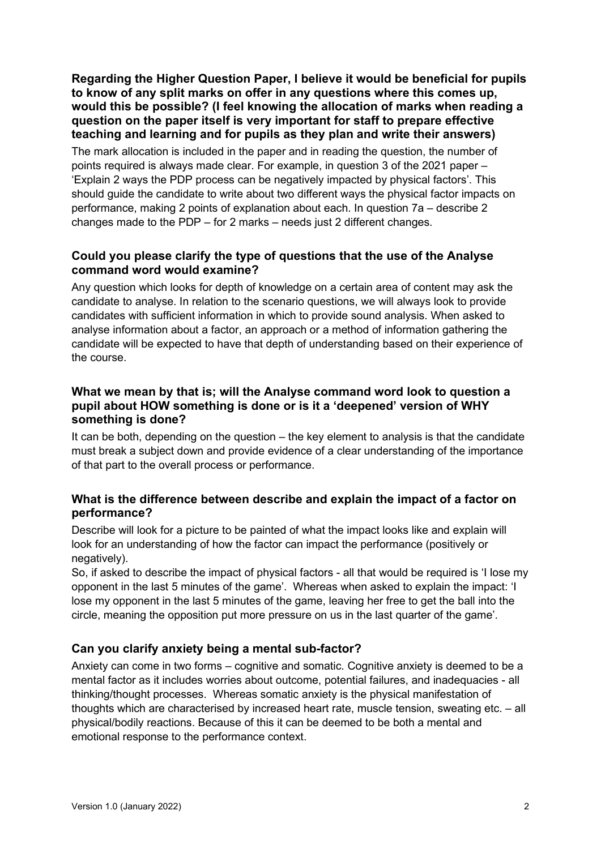#### **Regarding the Higher Question Paper, I believe it would be beneficial for pupils to know of any split marks on offer in any questions where this comes up, would this be possible? (I feel knowing the allocation of marks when reading a question on the paper itself is very important for staff to prepare effective teaching and learning and for pupils as they plan and write their answers)**

The mark allocation is included in the paper and in reading the question, the number of points required is always made clear. For example, in question 3 of the 2021 paper – 'Explain 2 ways the PDP process can be negatively impacted by physical factors'. This should guide the candidate to write about two different ways the physical factor impacts on performance, making 2 points of explanation about each. In question 7a – describe 2 changes made to the PDP – for 2 marks – needs just 2 different changes.

# **Could you please clarify the type of questions that the use of the Analyse command word would examine?**

Any question which looks for depth of knowledge on a certain area of content may ask the candidate to analyse. In relation to the scenario questions, we will always look to provide candidates with sufficient information in which to provide sound analysis. When asked to analyse information about a factor, an approach or a method of information gathering the candidate will be expected to have that depth of understanding based on their experience of the course.

# **What we mean by that is; will the Analyse command word look to question a pupil about HOW something is done or is it a 'deepened' version of WHY something is done?**

It can be both, depending on the question – the key element to analysis is that the candidate must break a subject down and provide evidence of a clear understanding of the importance of that part to the overall process or performance.

# **What is the difference between describe and explain the impact of a factor on performance?**

Describe will look for a picture to be painted of what the impact looks like and explain will look for an understanding of how the factor can impact the performance (positively or negatively).

So, if asked to describe the impact of physical factors - all that would be required is 'I lose my opponent in the last 5 minutes of the game'. Whereas when asked to explain the impact: 'I lose my opponent in the last 5 minutes of the game, leaving her free to get the ball into the circle, meaning the opposition put more pressure on us in the last quarter of the game'.

# **Can you clarify anxiety being a mental sub-factor?**

Anxiety can come in two forms – cognitive and somatic. Cognitive anxiety is deemed to be a mental factor as it includes worries about outcome, potential failures, and inadequacies - all thinking/thought processes. Whereas somatic anxiety is the physical manifestation of thoughts which are characterised by increased heart rate, muscle tension, sweating etc. – all physical/bodily reactions. Because of this it can be deemed to be both a mental and emotional response to the performance context.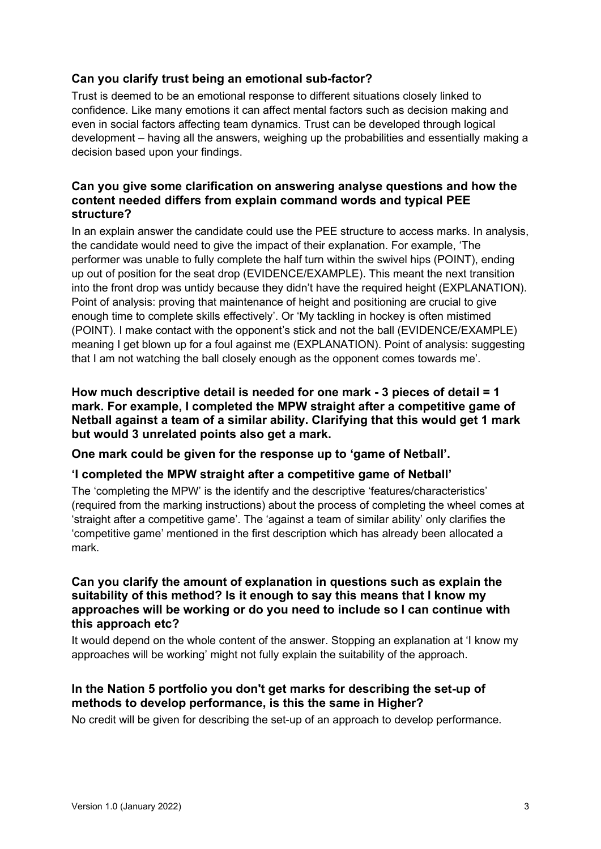# **Can you clarify trust being an emotional sub-factor?**

Trust is deemed to be an emotional response to different situations closely linked to confidence. Like many emotions it can affect mental factors such as decision making and even in social factors affecting team dynamics. Trust can be developed through logical development – having all the answers, weighing up the probabilities and essentially making a decision based upon your findings.

#### **Can you give some clarification on answering analyse questions and how the content needed differs from explain command words and typical PEE structure?**

In an explain answer the candidate could use the PEE structure to access marks. In analysis, the candidate would need to give the impact of their explanation. For example, 'The performer was unable to fully complete the half turn within the swivel hips (POINT), ending up out of position for the seat drop (EVIDENCE/EXAMPLE). This meant the next transition into the front drop was untidy because they didn't have the required height (EXPLANATION). Point of analysis: proving that maintenance of height and positioning are crucial to give enough time to complete skills effectively'. Or 'My tackling in hockey is often mistimed (POINT). I make contact with the opponent's stick and not the ball (EVIDENCE/EXAMPLE) meaning I get blown up for a foul against me (EXPLANATION). Point of analysis: suggesting that I am not watching the ball closely enough as the opponent comes towards me'.

**How much descriptive detail is needed for one mark - 3 pieces of detail = 1 mark. For example, I completed the MPW straight after a competitive game of Netball against a team of a similar ability. Clarifying that this would get 1 mark but would 3 unrelated points also get a mark.**

**One mark could be given for the response up to 'game of Netball'.**

#### **'I completed the MPW straight after a competitive game of Netball'**

The 'completing the MPW' is the identify and the descriptive 'features/characteristics' (required from the marking instructions) about the process of completing the wheel comes at 'straight after a competitive game'. The 'against a team of similar ability' only clarifies the 'competitive game' mentioned in the first description which has already been allocated a mark.

#### **Can you clarify the amount of explanation in questions such as explain the suitability of this method? Is it enough to say this means that I know my approaches will be working or do you need to include so I can continue with this approach etc?**

It would depend on the whole content of the answer. Stopping an explanation at 'I know my approaches will be working' might not fully explain the suitability of the approach.

# **In the Nation 5 portfolio you don't get marks for describing the set-up of methods to develop performance, is this the same in Higher?**

No credit will be given for describing the set-up of an approach to develop performance.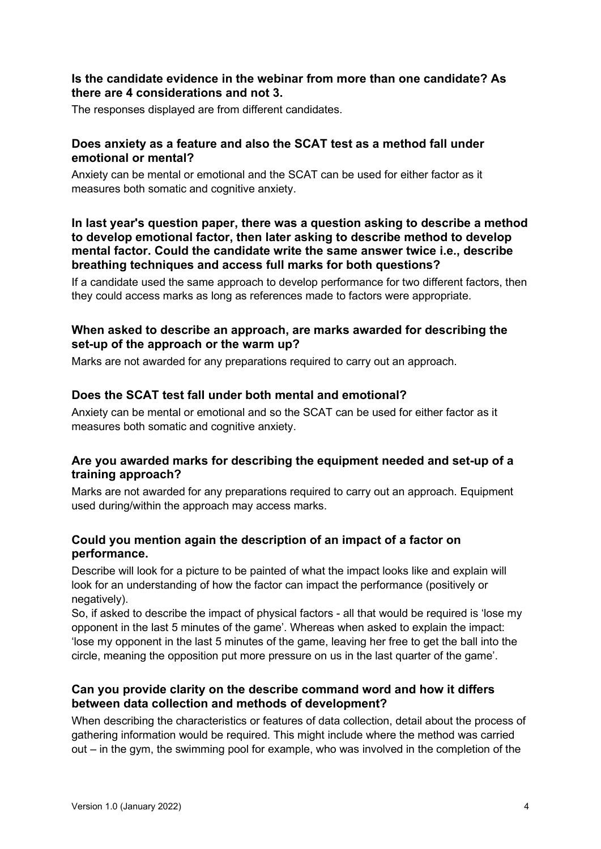#### **Is the candidate evidence in the webinar from more than one candidate? As there are 4 considerations and not 3.**

The responses displayed are from different candidates.

#### **Does anxiety as a feature and also the SCAT test as a method fall under emotional or mental?**

Anxiety can be mental or emotional and the SCAT can be used for either factor as it measures both somatic and cognitive anxiety.

#### **In last year's question paper, there was a question asking to describe a method to develop emotional factor, then later asking to describe method to develop mental factor. Could the candidate write the same answer twice i.e., describe breathing techniques and access full marks for both questions?**

If a candidate used the same approach to develop performance for two different factors, then they could access marks as long as references made to factors were appropriate.

#### **When asked to describe an approach, are marks awarded for describing the set-up of the approach or the warm up?**

Marks are not awarded for any preparations required to carry out an approach.

#### **Does the SCAT test fall under both mental and emotional?**

Anxiety can be mental or emotional and so the SCAT can be used for either factor as it measures both somatic and cognitive anxiety.

#### **Are you awarded marks for describing the equipment needed and set-up of a training approach?**

Marks are not awarded for any preparations required to carry out an approach. Equipment used during/within the approach may access marks.

#### **Could you mention again the description of an impact of a factor on performance.**

Describe will look for a picture to be painted of what the impact looks like and explain will look for an understanding of how the factor can impact the performance (positively or negatively).

So, if asked to describe the impact of physical factors - all that would be required is 'lose my opponent in the last 5 minutes of the game'. Whereas when asked to explain the impact: 'lose my opponent in the last 5 minutes of the game, leaving her free to get the ball into the circle, meaning the opposition put more pressure on us in the last quarter of the game'.

#### **Can you provide clarity on the describe command word and how it differs between data collection and methods of development?**

When describing the characteristics or features of data collection, detail about the process of gathering information would be required. This might include where the method was carried out – in the gym, the swimming pool for example, who was involved in the completion of the